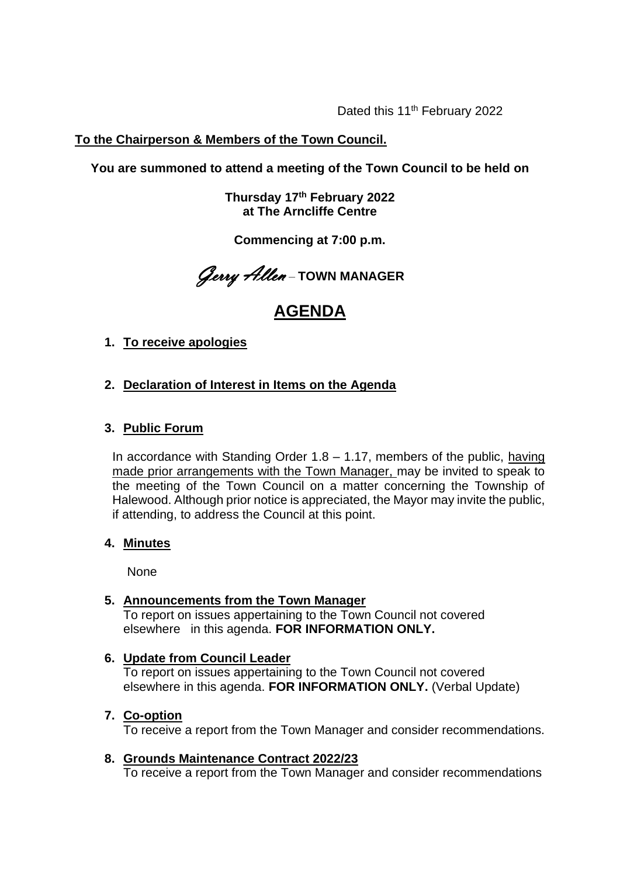Dated this 11<sup>th</sup> February 2022

# **To the Chairperson & Members of the Town Council.**

**You are summoned to attend a meeting of the Town Council to be held on**

**Thursday 17 th February 2022 at The Arncliffe Centre**

**Commencing at 7:00 p.m.**

Gerry Allen – **TOWN MANAGER**

# **AGENDA**

- **1. To receive apologies**
- **2. Declaration of Interest in Items on the Agenda**

### **3. Public Forum**

In accordance with Standing Order  $1.8 - 1.17$ , members of the public, having made prior arrangements with the Town Manager, may be invited to speak to the meeting of the Town Council on a matter concerning the Township of Halewood. Although prior notice is appreciated, the Mayor may invite the public, if attending, to address the Council at this point.

### **4. Minutes**

None

### **5. Announcements from the Town Manager**

To report on issues appertaining to the Town Council not covered elsewhere in this agenda. **FOR INFORMATION ONLY.** 

### **6. Update from Council Leader**

To report on issues appertaining to the Town Council not covered elsewhere in this agenda. **FOR INFORMATION ONLY.** (Verbal Update)

### **7. Co-option**

To receive a report from the Town Manager and consider recommendations.

### **8. Grounds Maintenance Contract 2022/23**

To receive a report from the Town Manager and consider recommendations